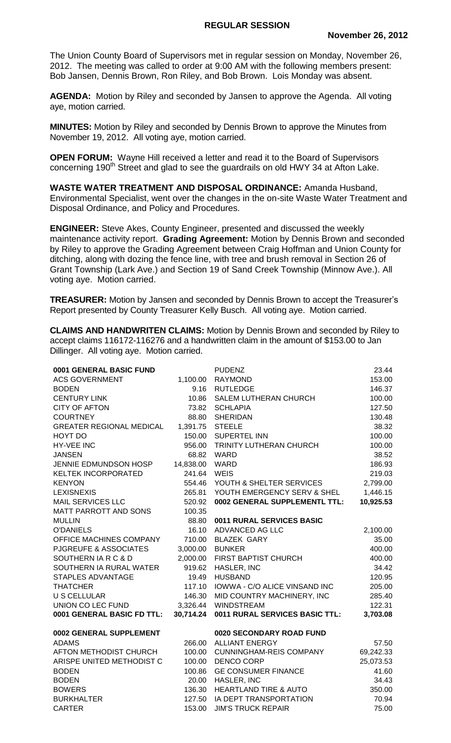The Union County Board of Supervisors met in regular session on Monday, November 26, 2012. The meeting was called to order at 9:00 AM with the following members present: Bob Jansen, Dennis Brown, Ron Riley, and Bob Brown. Lois Monday was absent.

**AGENDA:** Motion by Riley and seconded by Jansen to approve the Agenda. All voting aye, motion carried.

**MINUTES:** Motion by Riley and seconded by Dennis Brown to approve the Minutes from November 19, 2012. All voting aye, motion carried.

**OPEN FORUM:** Wayne Hill received a letter and read it to the Board of Supervisors concerning 190<sup>th</sup> Street and glad to see the guardrails on old HWY 34 at Afton Lake.

**WASTE WATER TREATMENT AND DISPOSAL ORDINANCE:** Amanda Husband, Environmental Specialist, went over the changes in the on-site Waste Water Treatment and Disposal Ordinance, and Policy and Procedures.

**ENGINEER:** Steve Akes, County Engineer, presented and discussed the weekly maintenance activity report. **Grading Agreement:** Motion by Dennis Brown and seconded by Riley to approve the Grading Agreement between Craig Hoffman and Union County for ditching, along with dozing the fence line, with tree and brush removal in Section 26 of Grant Township (Lark Ave.) and Section 19 of Sand Creek Township (Minnow Ave.). All voting aye. Motion carried.

**TREASURER:** Motion by Jansen and seconded by Dennis Brown to accept the Treasurer's Report presented by County Treasurer Kelly Busch. All voting aye. Motion carried.

**CLAIMS AND HANDWRITEN CLAIMS:** Motion by Dennis Brown and seconded by Riley to accept claims 116172-116276 and a handwritten claim in the amount of \$153.00 to Jan Dillinger. All voting aye. Motion carried.

| 0001 GENERAL BASIC FUND         |           | <b>PUDENZ</b>                  | 23.44     |
|---------------------------------|-----------|--------------------------------|-----------|
| <b>ACS GOVERNMENT</b>           | 1,100.00  | <b>RAYMOND</b>                 | 153.00    |
| <b>BODEN</b>                    | 9.16      | <b>RUTLEDGE</b>                | 146.37    |
| <b>CENTURY LINK</b>             | 10.86     | SALEM LUTHERAN CHURCH          | 100.00    |
| <b>CITY OF AFTON</b>            | 73.82     | <b>SCHLAPIA</b>                | 127.50    |
| <b>COURTNEY</b>                 | 88.80     | <b>SHERIDAN</b>                | 130.48    |
| <b>GREATER REGIONAL MEDICAL</b> | 1,391.75  | <b>STEELE</b>                  | 38.32     |
| HOYT DO                         | 150.00    | <b>SUPERTEL INN</b>            | 100.00    |
| <b>HY-VEE INC</b>               | 956.00    | TRINITY LUTHERAN CHURCH        | 100.00    |
| <b>JANSEN</b>                   | 68.82     | WARD                           | 38.52     |
| JENNIE EDMUNDSON HOSP           | 14,838.00 | <b>WARD</b>                    | 186.93    |
| <b>KELTEK INCORPORATED</b>      | 241.64    | <b>WEIS</b>                    | 219.03    |
| <b>KENYON</b>                   | 554.46    | YOUTH & SHELTER SERVICES       | 2,799.00  |
| <b>LEXISNEXIS</b>               | 265.81    | YOUTH EMERGENCY SERV & SHEL    | 1,446.15  |
| <b>MAIL SERVICES LLC</b>        | 520.92    | 0002 GENERAL SUPPLEMENTL TTL:  | 10,925.53 |
| MATT PARROTT AND SONS           | 100.35    |                                |           |
| <b>MULLIN</b>                   | 88.80     | 0011 RURAL SERVICES BASIC      |           |
| <b>O'DANIELS</b>                | 16.10     | ADVANCED AG LLC                | 2,100.00  |
| OFFICE MACHINES COMPANY         | 710.00    | <b>BLAZEK GARY</b>             | 35.00     |
| PJGREUFE & ASSOCIATES           | 3,000.00  | <b>BUNKER</b>                  | 400.00    |
| SOUTHERN IA R C & D             | 2,000.00  | FIRST BAPTIST CHURCH           | 400.00    |
| SOUTHERN IA RURAL WATER         | 919.62    | HASLER, INC                    | 34.42     |
| STAPLES ADVANTAGE               | 19.49     | <b>HUSBAND</b>                 | 120.95    |
| <b>THATCHER</b>                 | 117.10    | IOWWA - C/O ALICE VINSAND INC  | 205.00    |
| <b>U S CELLULAR</b>             | 146.30    | MID COUNTRY MACHINERY, INC     | 285.40    |
| UNION CO LEC FUND               | 3,326.44  | <b>WINDSTREAM</b>              | 122.31    |
| 0001 GENERAL BASIC FD TTL:      | 30,714.24 | 0011 RURAL SERVICES BASIC TTL: | 3,703.08  |
| 0002 GENERAL SUPPLEMENT         |           | 0020 SECONDARY ROAD FUND       |           |
| <b>ADAMS</b>                    | 266.00    | <b>ALLIANT ENERGY</b>          | 57.50     |
| AFTON METHODIST CHURCH          | 100.00    | <b>CUNNINGHAM-REIS COMPANY</b> | 69,242.33 |
| ARISPE UNITED METHODIST C       | 100.00    | <b>DENCO CORP</b>              | 25,073.53 |
| <b>BODEN</b>                    | 100.86    | <b>GE CONSUMER FINANCE</b>     | 41.60     |
| <b>BODEN</b>                    |           | 20.00 HASLER, INC              | 34.43     |
| <b>BOWERS</b>                   | 136.30    | HEARTLAND TIRE & AUTO          | 350.00    |
| <b>BURKHALTER</b>               | 127.50    | IA DEPT TRANSPORTATION         | 70.94     |
| <b>CARTER</b>                   | 153.00    | <b>JIM'S TRUCK REPAIR</b>      | 75.00     |